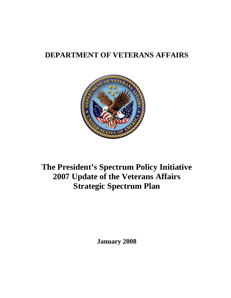# **DEPARTMENT OF VETERANS AFFAIRS**



# **The President's Spectrum Policy Initiative 2007 Update of the Veterans Affairs Strategic Spectrum Plan**

**January 2008**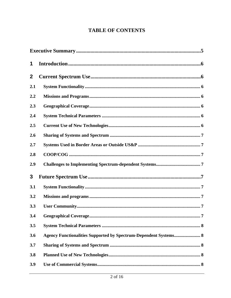### **TABLE OF CONTENTS**

| 1            |                                                                         |  |  |  |  |
|--------------|-------------------------------------------------------------------------|--|--|--|--|
| $\mathbf{2}$ |                                                                         |  |  |  |  |
| 2.1          |                                                                         |  |  |  |  |
| 2.2          |                                                                         |  |  |  |  |
| 2.3          |                                                                         |  |  |  |  |
| 2.4          |                                                                         |  |  |  |  |
| 2.5          |                                                                         |  |  |  |  |
| 2.6          |                                                                         |  |  |  |  |
| 2.7          |                                                                         |  |  |  |  |
| 2.8          |                                                                         |  |  |  |  |
| 2.9          |                                                                         |  |  |  |  |
| 3            |                                                                         |  |  |  |  |
| 3.1          |                                                                         |  |  |  |  |
| 3.2          |                                                                         |  |  |  |  |
| 3.3          |                                                                         |  |  |  |  |
| 3.4          | <b>Geographical Coverage</b><br>.7                                      |  |  |  |  |
| 3.5          |                                                                         |  |  |  |  |
| 3.6          | <b>Agency Functionalities Supported by Spectrum-Dependent Systems 8</b> |  |  |  |  |
| 3.7          |                                                                         |  |  |  |  |
| 3.8          |                                                                         |  |  |  |  |
| 3.9          |                                                                         |  |  |  |  |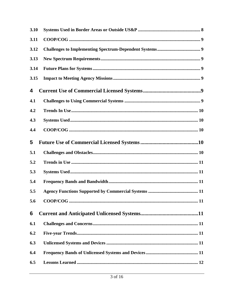| 3.10 |  |
|------|--|
| 3.11 |  |
| 3.12 |  |
| 3.13 |  |
| 3.14 |  |
| 3.15 |  |
| 4    |  |
| 4.1  |  |
| 4.2  |  |
| 4.3  |  |
| 4.4  |  |
| 5    |  |
|      |  |
| 5.1  |  |
| 5.2  |  |
| 5.3  |  |
| 5.4  |  |
| 5.5  |  |
| 5.6  |  |
| 6    |  |
| 6.1  |  |
| 6.2  |  |
| 6.3  |  |
| 6.4  |  |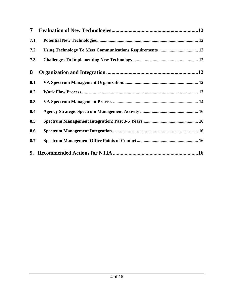| $\mathbf{7}$ |  |
|--------------|--|
| 7.1          |  |
| 7.2          |  |
| 7.3          |  |
| 8            |  |
| 8.1          |  |
| 8.2          |  |
| 8.3          |  |
| 8.4          |  |
| 8.5          |  |
| 8.6          |  |
| 8.7          |  |
|              |  |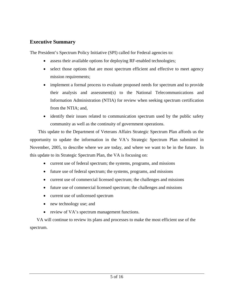#### <span id="page-4-0"></span>**Executive Summary**

The President's Spectrum Policy Initiative (SPI) called for Federal agencies to:

- assess their available options for deploying RF-enabled technologies;
- select those options that are most spectrum efficient and effective to meet agency mission requirements;
- implement a formal process to evaluate proposed needs for spectrum and to provide their analysis and assessment(s) to the National Telecommunications and Information Administration (NTIA) for review when seeking spectrum certification from the NTIA; and,
- identify their issues related to communication spectrum used by the public safety community as well as the continuity of government operations.

This update to the Department of Veterans Affairs Strategic Spectrum Plan affords us the opportunity to update the information in the VA's Strategic Spectrum Plan submitted in November, 2005, to describe where we are today, and where we want to be in the future. In this update to its Strategic Spectrum Plan, the VA is focusing on:

- current use of federal spectrum; the systems, programs, and missions
- future use of federal spectrum; the systems, programs, and missions
- current use of commercial licensed spectrum; the challenges and missions
- future use of commercial licensed spectrum; the challenges and missions
- current use of unlicensed spectrum
- new technology use; and
- review of VA's spectrum management functions.

VA will continue to review its plans and processes to make the most efficient use of the spectrum.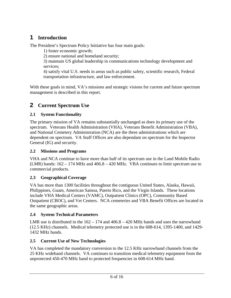# <span id="page-5-0"></span>**1 Introduction**

The President's Spectrum Policy Initiative has four main goals:

1) foster economic growth;

2) ensure national and homeland security;

3) maintain US global leadership in communications technology development and services;

4) satisfy vital U.S. needs in areas such as public safety, scientific research, Federal transportation infrastructure, and law enforcement.

With these goals in mind, VA's missions and strategic visions for current and future spectrum management is described in this report.

# **2 Current Spectrum Use**

#### **2.1 System Functionality**

The primary mission of VA remains substantially unchanged as does its primary use of the spectrum. Veterans Health Administration (VHA), Veterans Benefit Administration (VBA), and National Cemetery Administration (NCA) are the three administrations which are dependent on spectrum. VA Staff Offices are also dependant on spectrum for the Inspector General (IG) and security.

#### **2.2 Missions and Programs**

VHA and NCA continue to have more than half of its spectrum use in the Land Mobile Radio (LMR) bands:  $162 - 174$  MHz and  $406.8 - 420$  MHz. VBA continues to limit spectrum use to commercial products.

#### **2.3 Geographical Coverage**

VA has more than 1300 facilities throughout the contiguous United States, Alaska, Hawaii, Philippines, Guam, American Samoa, Puerto Rico, and the Virgin Islands. These locations include VHA Medical Centers (VAMC), Outpatient Clinics (OPC), Community Based Outpatient (CBOC), and Vet Centers. NCA cemeteries and VBA Benefit Offices are located in the same geographic areas.

#### **2.4 System Technical Parameters**

LMR use is distributed in the  $162 - 174$  and  $406.8 - 420$  MHz bands and uses the narrowband (12.5 KHz) channels. Medical telemetry protected use is in the 608-614, 1395-1400, and 1429- 1432 MHz bands.

#### **2.5 Current Use of New Technologies**

VA has completed the mandatory conversion to the 12.5 KHz narrowband channels from the 25 KHz wideband channels. VA continues to transition medical telemetry equipment from the unprotected 450-470 MHz band to protected frequencies in 608-614 MHz band.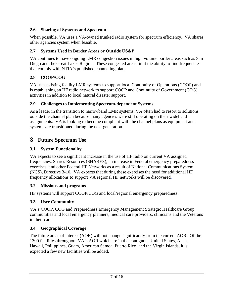#### <span id="page-6-0"></span>**2.6 Sharing of Systems and Spectrum**

When possible, VA uses a VA-owned trunked radio system for spectrum efficiency. VA shares other agencies system when feasible.

#### **2.7 Systems Used in Border Areas or Outside US&P**

VA continues to have ongoing LMR congestion issues in high volume border areas such as San Diego and the Great Lakes Region. These congested areas limit the ability to find frequencies that comply with NTIA's published channeling plan.

#### **2.8 COOP/COG**

VA uses existing facility LMR systems to support local Continuity of Operations (COOP) and is establishing an HF radio network to support COOP and Continuity of Government (COG) activities in addition to local natural disaster support.

#### **2.9 Challenges to Implementing Spectrum-dependent Systems**

As a leader in the transition to narrowband LMR systems, VA often had to resort to solutions outside the channel plan because many agencies were still operating on their wideband assignments. VA is looking to become compliant with the channel plans as equipment and systems are transitioned during the next generation.

## **3 Future Spectrum Use**

#### **3.1 System Functionality**

VA expects to see a significant increase in the use of HF radio on current VA assigned frequencies, Shares Resources (SHARES), an increase in Federal emergency preparedness exercises, and other Federal HF Networks as a result of National Communications System (NCS), Directive 3-10. VA expects that during these exercises the need for additional HF frequency allocations to support VA regional HF networks will be discovered.

#### **3.2 Missions and programs**

HF systems will support COOP/COG and local/regional emergency preparedness.

#### **3.3 User Community**

VA's COOP, COG and Preparedness Emergency Management Strategic Healthcare Group communities and local emergency planners, medical care providers, clinicians and the Veterans in their care.

#### **3.4 Geographical Coverage**

The future areas of interest (AOR) will not change significantly from the current AOR. Of the 1300 facilities throughout VA's AOR which are in the contiguous United States, Alaska, Hawaii, Philippines, Guam, American Samoa, Puerto Rico, and the Virgin Islands, it is expected a few new facilities will be added.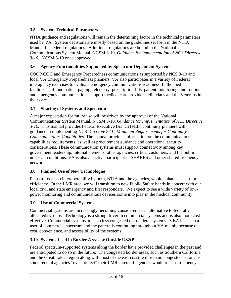#### <span id="page-7-0"></span>**3.5 System Technical Parameters**

NTIA guidance and regulations will remain the determining factor in the technical parameters used by VA. System decisions are mostly based on the guidelines set forth in the NTIA Manual for federal regulations. Additional regulations are bound in the National Communications System Manual, NCSM 3-10, *Guidance for Implementaion of NCS Directive 3-10.* NCSM 3-10 once approved.

#### **3.6 Agency Functionalities Supported by Spectrum-Dependent Systems**

COOP/COG and Emergency Preparedness communications as supported by NCS 3-10 and local VA Emergency Preparedness planners. VA also participates in a variety of Federal interagency exercises to evaluate emergency communications readiness. In the medical facilities, staff and patient paging, telemetry, prescription fills, patient monitoring, and routine and emergency communications support medical care providers, clinicians and the Veterans in their care.

#### **3.7 Sharing of Systems and Spectrum**

A major expectation for future use will be driven by the approval of the National Communications System Manual, NCSM 3-10, *Guidance for Implementation of NCS Directive 3-10.* This manual provides Federal Executive Branch (FEB) continuity planners with guidance in implementing NCS Directive 3-10, *Minimum Requirements for Continuity Communications Capabilities*. The manual provides information on the communications capabilities requirements, as well as procurement guidance and operational security considerations. These communication systems must support connectivity among key government leadership, internal elements, other agencies, critical customers, and the public under all conditions. VA is also an active participant in SHARES and other shared frequency networks.

#### **3.8 Planned Use of New Technologies**

Plans to focus on interoperability by both, NTIA and the agencies, would enhance spectrum efficiency. In the LMR area, we will transition to new Public Safety bands in concert with our local civil and state emergency and first responders. We expect to see a wide variety of lowpower monitoring and communications devices come into play in the medical community

#### **3.9 Use of Commercial Systems**

Commercial systems are increasingly becoming considered as an alternative to federally allocated systems. Technology is a strong driver in commercial systems and is also more cost effective. Commercial systems are also less congested than federal systems. VBA has been a user of commercial spectrum and the pattern is continuing throughout VA mainly because of cost, convenience, and accessibility of the systems.

#### **3.10 Systems Used in Border Areas or Outside US&P**

Federal spectrum-supported systems along the border have provided challenges in the past and are anticipated to do so in the future. The congested border areas, such as Southern California and the Great Lakes region along with most of the east coast, will remain congested as long as some federal agencies "over-protect" their LMR assets. If agencies would release frequency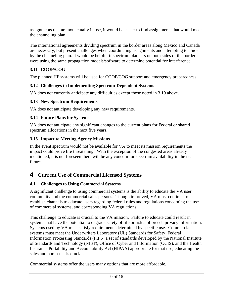<span id="page-8-0"></span>assignments that are not actually in use, it would be easier to find assignments that would meet the channeling plan.

The international agreements dividing spectrum in the border areas along Mexico and Canada are necessary, but present challenges when coordinating assignments and attempting to abide by the channeling plan. It would be helpful if spectrum planners on both sides of the border were using the same propagation models/software to determine potential for interference.

#### **3.11 COOP/COG**

The planned HF systems will be used for COOP/COG support and emergency preparedness.

#### **3.12 Challenges to Implementing Spectrum-Dependent Systems**

VA does not currently anticipate any difficulties except those noted in 3.10 above.

#### **3.13 New Spectrum Requirements**

VA does not anticipate developing any new requirements.

#### **3.14 Future Plans for Systems**

VA does not anticipate any significant changes to the current plans for Federal or shared spectrum allocations in the next five years.

#### **3.15 Impact to Meeting Agency Missions**

In the event spectrum would not be available for VA to meet its mission requirements the impact could prove life threatening. With the exception of the congested areas already mentioned, it is not foreseen there will be any concern for spectrum availability in the near future.

### **4 Current Use of Commercial Licensed Systems**

#### **4.1 Challenges to Using Commercial Systems**

A significant challenge to using commercial systems is the ability to educate the VA user community and the commercial sales persons. Though improved, VA must continue to establish channels to educate users regarding federal rules and regulations concerning the use of commercial systems, and corresponding VA regulations.

This challenge to educate is crucial to the VA mission. Failure to educate could result in systems that have the potential to degrade safety of life or risk a of breech privacy information. Systems used by VA must satisfy requirements determined by specific use. Commercial systems must meet the Underwriters Laboratory (UL) Standards for Safety, Federal Information Processing Standards (FIPS) a set of standards developed by the National Institute of Standards and Technology (NIST), Office of Cyber and Information (OCIS), and the Health Insurance Portability and Accountability Act (HIPAA) appropriate for that use; educating the sales and purchaser is crucial.

Commercial systems offer the users many options that are more affordable.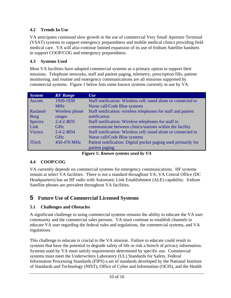#### <span id="page-9-0"></span>**4.2 Trends In Use**

VA anticipates continued slow growth in the use of commercial Very Small Aperture Terminal (VSAT) systems to support emergency preparedness and mobile medical clinics providing field medical care. VA will also continue limited expansion of its use of Iridium Satellite handsets to support COOP/COG and emergency preparedness.

#### **4.3 Systems Used**

Most VA facilities have adopted commercial systems as a primary option to support their missions. Telephone networks, staff and patient paging, telemetry, prescription fills, patient monitoring, and routine and emergency communications are all missions supported by commercial systems. Figure 1 below lists some known systems currently in use by VA.

| <b>System</b> | <b>RF</b> Range | Use                                                            |
|---------------|-----------------|----------------------------------------------------------------|
| Ascom         | 1920-1930       | Staff notification: Wireless cell; stand alone or connected to |
|               | <b>MHz</b>      | Nurse call/Code Blue systems                                   |
| Rauland-      | Wireless phone  | Staff notification: wireless telephones for staff and patient  |
| <b>Borg</b>   | ranges          | notification                                                   |
| Spectra       | $2.4 - 2.4835$  | Staff notification: Wireless telephones for staff to           |
| Link          | <b>GHz</b>      | communicate between clinics/stations within the facility       |
| Vocera        | 2.4-2.4834      | Staff notification: Wireless cell; stand alone or connected to |
|               | <b>GHz</b>      | Nurse call/Code Blue systems                                   |
| <b>JTech</b>  | 450-470 MHz     | Patient notification: Digital pocket paging used primarily for |
|               |                 | patient paging                                                 |

**Figure 1:** *Known systems used by VA* 

#### **4.4 COOP/COG**

VA currently depends on commercial systems for emergency communications. HF systems remain at select VA facilities. There is not a standard throughout VA; VA Central Office (DC Headquarters) has an HF radio with Automatic Link Establishment (ALE) capability. Iridium Satellite phones are prevalent throughout VA facilities.

# **5 Future Use of Commercial Licensed Systems**

#### **5.1 Challenges and Obstacles**

A significant challenge to using commercial systems remains the ability to educate the VA user community and the commercial sales persons. VA must continue to establish channels to educate VA user regarding the federal rules and regulations, the commercial systems, and VA regulations.

This challenge to educate is crucial to the VA mission. Failure to educate could result in systems that have the potential to degrade safety of life or risk a breech of privacy information. Systems used by VA must satisfy requirements determined by specific use. Commercial systems must meet the Underwriters Laboratory (UL) Standards for Safety, Federal Information Processing Standards (FIPS) a set of standards developed by the National Institute of Standards and Technology (NIST), Office of Cyber and Information (OCIS), and the Health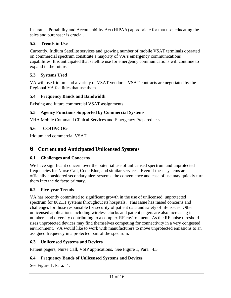<span id="page-10-0"></span>Insurance Portability and Accountability Act (HIPAA) appropriate for that use; educating the sales and purchaser is crucial.

#### **5.2 Trends in Use**

Currently, Iridium Satellite services and growing number of mobile VSAT terminals operated on commercial spectrum constitute a majority of VA's emergency communications capabilities. It is anticipated that satellite use for emergency communications will continue to expand in the future.

#### **5.3 Systems Used**

VA will use Iridium and a variety of VSAT vendors. VSAT contracts are negotiated by the Regional VA facilities that use them.

#### **5.4 Frequency Bands and Bandwidth**

Existing and future commercial VSAT assignments

#### **5.5 Agency Functions Supported by Commercial Systems**

VHA Mobile Command Clinical Services and Emergency Preparedness

#### **5.6 COOP/COG**

Iridium and commercial VSAT

## **6 Current and Anticipated Unlicensed Systems**

#### **6.1 Challenges and Concerns**

We have significant concern over the potential use of unlicensed spectrum and unprotected frequencies for Nurse Call, Code Blue, and similar services. Even if these systems are officially considered secondary alert systems, the convenience and ease of use may quickly turn them into the de facto primary.

#### **6.2 Five-year Trends**

VA has recently committed to significant growth in the use of unlicensed, unprotected spectrum for 802.11 systems throughout its hospitals. This issue has raised concerns and challenges for those responsible for security of patient data and safety of life issues. Other unlicensed applications including wireless clocks and patient pagers are also increasing in numbers and diversity contributing to a complex RF environment. As the RF noise threshold rises unprotected devices may find themselves competing for connectivity in a very congested environment. VA would like to work with manufacturers to move unprotected emissions to an assigned frequency in a protected part of the spectrum.

#### **6.3 Unlicensed Systems and Devices**

Patient pagers, Nurse Call, VoIP applications. See Figure 1, Para. 4.3

#### **6.4 Frequency Bands of Unlicensed Systems and Devices**

See Figure 1, Para. 4.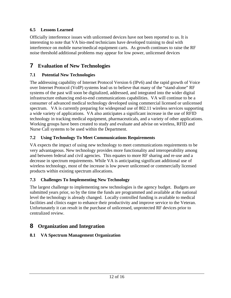#### <span id="page-11-0"></span>**6.5 Lessons Learned**

Officially interference issues with unlicensed devices have not been reported to us. It is interesting to note that VA bio-med technicians have developed training to deal with interference on mobile nurse/medical equipment carts. As growth continues to raise the RF noise threshold additional problems may appear for low power, unlicensed devices

# **7 Evaluation of New Technologies**

#### **7.1 Potential New Technologies**

The addressing capability of Internet Protocol Version 6 (IPv6) and the rapid growth of Voice over Internet Protocol (VoIP) systems lead us to believe that many of the "stand-alone" RF systems of the past will soon be digitalized, addressed, and integrated into the wider digital infrastructure enhancing end-to-end communications capabilities. VA will continue to be a consumer of advanced medical technology developed using commercial licensed or unlicensed spectrum. VA is currently preparing for widespread use of 802.11 wireless services supporting a wide variety of applications. VA also anticipates a significant increase in the use of RFID technology in tracking medical equipment, pharmaceuticals, and a variety of other applications. Working groups have been created to study and evaluate and advise on wireless, RFID and Nurse Call systems to be used within the Department.

#### **7.2 Using Technology To Meet Communications Requirements**

VA expects the impact of using new technology to meet communications requirements to be very advantageous. New technology provides more functionality and interoperability among and between federal and civil agencies. This equates to more RF sharing and re-use and a decrease in spectrum requirements. While VA is anticipating significant additional use of wireless technology, most of the increase is low power unlicensed or commercially licensed products within existing spectrum allocations.

#### **7.3 Challenges To Implementing New Technology**

The largest challenge to implementing new technologies is the agency budget. Budgets are submitted years prior, so by the time the funds are programmed and available at the national level the technology is already changed. Locally controlled funding is available to medical facilities and clinics eager to enhance their productivity and improve service to the Veteran. Unfortunately it can result in the purchase of unlicensed, unprotected RF devices prior to centralized review.

# **8 Organization and Integration**

#### **8.1 VA Spectrum Management Organization**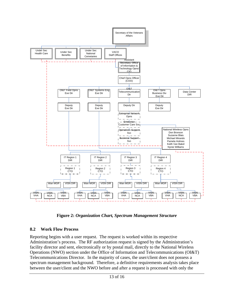<span id="page-12-0"></span>

**Figure 2:** *Organization Chart, Spectrum Management Structure*

#### **8.2 Work Flow Process**

Reporting begins with a user request. The request is worked within its respective Administration's process. The RF authorization request is signed by the Administration's facility director and sent, electronically or by postal mail, directly to the National Wireless Operations (NWO) section under the Office of Information and Telecommunications (OI&T) Telecommunications Director. In the majority of cases, the user/client does not possess a spectrum management background. Therefore, a definitive requirements analysis takes place between the user/client and the NWO before and after a request is processed with only the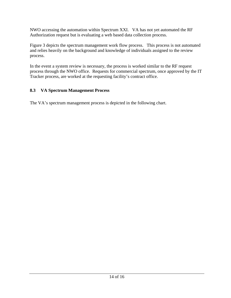<span id="page-13-0"></span>NWO accessing the automation within Spectrum XXI. VA has not yet automated the RF Authorization request but is evaluating a web based data collection process.

Figure 3 depicts the spectrum management work flow process. This process is not automated and relies heavily on the background and knowledge of individuals assigned to the review process.

In the event a system review is necessary, the process is worked similar to the RF request process through the NWO office. Requests for commercial spectrum, once approved by the IT Tracker process, are worked at the requesting facility's contract office.

#### **8.3 VA Spectrum Management Process**

The VA's spectrum management process is depicted in the following chart.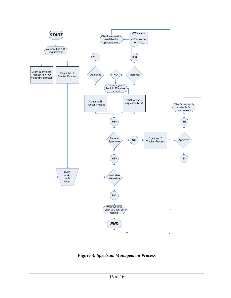

**Figure 3:** *Spectrum Management Process*